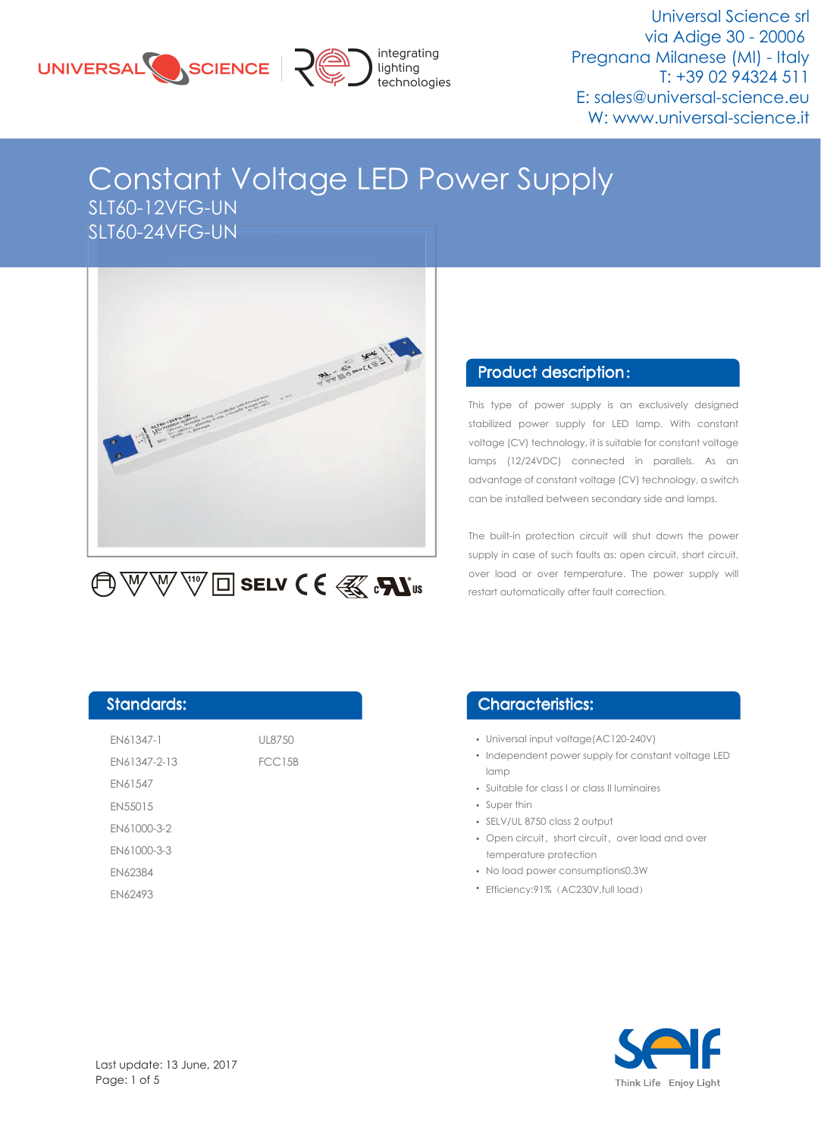



Universal Science srl via Adige 30 - 20006 Pregnana Milanese (MI) - Italy T: +39 02 94324 511 E: sales@universal-science.eu W: www.universal-science.it

## Constant Voltage LED Power Supply SLT60-12VFG-UN SLT60-24VFG-UN



# $\bigoplus\mathbb{W}\,\mathbb{W}$   $\mathbb{W}\boxtimes\mathbb{Z}$  selv  $\bigcirc$   $\mathsf{E}\left(\mathbb{R}\right)$   $\mathbb{R}$   $\mathbb{W}$  is

#### Product description :

This type of power supply is an exclusively designed stabilized power supply for LED lamp. With constant voltage (CV) technology, it is suitable for constant voltage lamps (12/24VDC) connected in parallels. As an advantage of constant voltage (CV) technology, a switch can be installed between secondary side and lamps.

The built-in protection circuit will shut down the power supply in case of such faults as: open circuit, short circuit, over load or over temperature. The power supply will restart automatically after fault correction.

#### Standards:

| EN61347-1      | UL8750        |
|----------------|---------------|
| EN61347-2-13   | <b>FCC15B</b> |
| EN61547        |               |
| EN55015        |               |
| EN61000-3-2    |               |
| EN61000-3-3    |               |
| <b>FN62384</b> |               |
| EN62493        |               |

#### Characteristics:

- Universal input voltage(AC120-240V)
- Independent power supply for constant voltage LED lamp
- Suitable for class I or class II luminaires
- Super thin
- SELV/UL 8750 class 2 output
- Open circuit, short circuit, over load and over temperature protection
- No load power consumption≤0.3W
- Efficiency:91% (AC230V,full load)

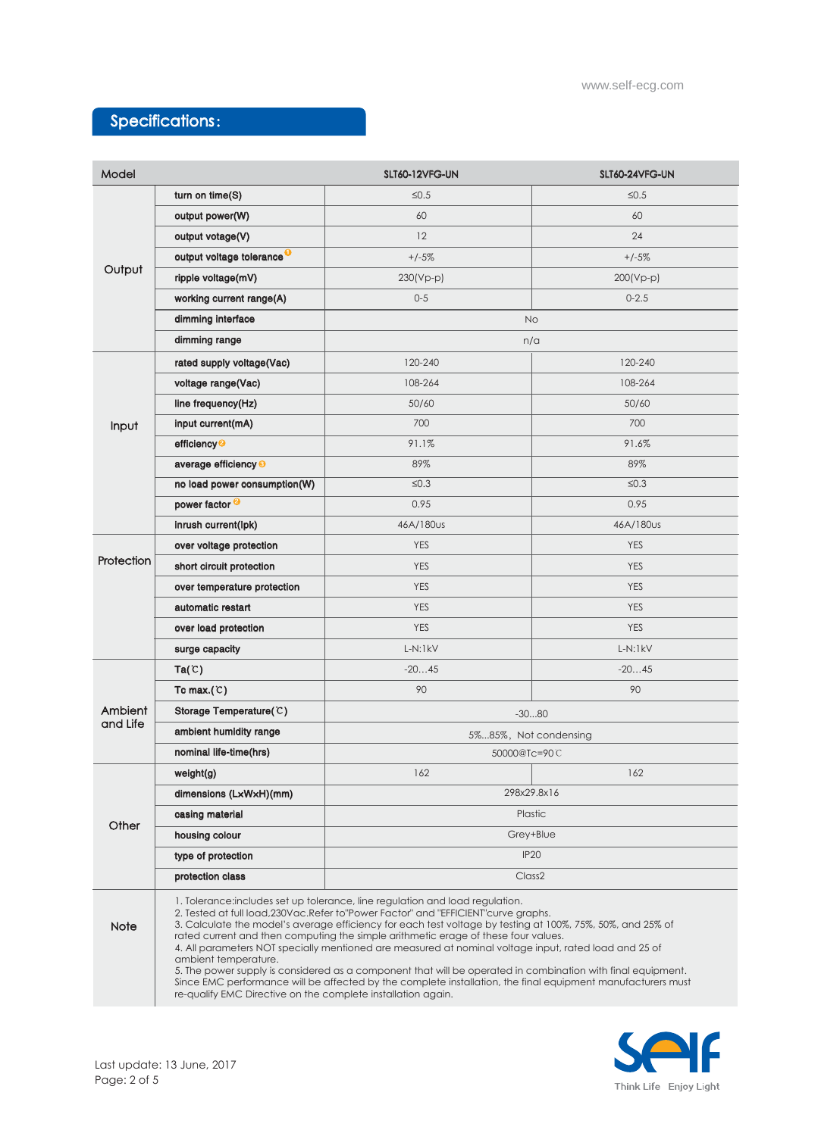### Specifications:

| Model               |                                       | SLT60-12VFG-UN                                                                                                                                                                                                                                                                                                                                                                                                                                                                                                                                                                                                                                                                                                                                                                    | SLT60-24VFG-UN |  |
|---------------------|---------------------------------------|-----------------------------------------------------------------------------------------------------------------------------------------------------------------------------------------------------------------------------------------------------------------------------------------------------------------------------------------------------------------------------------------------------------------------------------------------------------------------------------------------------------------------------------------------------------------------------------------------------------------------------------------------------------------------------------------------------------------------------------------------------------------------------------|----------------|--|
| Output              | turn on time(S)                       | $\leq 0.5$                                                                                                                                                                                                                                                                                                                                                                                                                                                                                                                                                                                                                                                                                                                                                                        | $≤0.5$         |  |
|                     | output power(W)                       | 60                                                                                                                                                                                                                                                                                                                                                                                                                                                                                                                                                                                                                                                                                                                                                                                | 60             |  |
|                     | output votage(V)                      | 12                                                                                                                                                                                                                                                                                                                                                                                                                                                                                                                                                                                                                                                                                                                                                                                | 24             |  |
|                     | output voltage tolerance <sup>O</sup> | $+/-5%$                                                                                                                                                                                                                                                                                                                                                                                                                                                                                                                                                                                                                                                                                                                                                                           | $+/-5%$        |  |
|                     | ripple voltage(mV)                    | $230(Vp-p)$                                                                                                                                                                                                                                                                                                                                                                                                                                                                                                                                                                                                                                                                                                                                                                       | $200(Vp-p)$    |  |
|                     | working current range(A)              | $0 - 5$                                                                                                                                                                                                                                                                                                                                                                                                                                                                                                                                                                                                                                                                                                                                                                           | $0 - 2.5$      |  |
|                     | dimming interface                     | <b>No</b>                                                                                                                                                                                                                                                                                                                                                                                                                                                                                                                                                                                                                                                                                                                                                                         |                |  |
|                     | dimming range                         | n/a                                                                                                                                                                                                                                                                                                                                                                                                                                                                                                                                                                                                                                                                                                                                                                               |                |  |
|                     | rated supply voltage(Vac)             | 120-240                                                                                                                                                                                                                                                                                                                                                                                                                                                                                                                                                                                                                                                                                                                                                                           | 120-240        |  |
|                     | voltage range(Vac)                    | 108-264                                                                                                                                                                                                                                                                                                                                                                                                                                                                                                                                                                                                                                                                                                                                                                           | 108-264        |  |
| Input               | line frequency(Hz)                    | 50/60                                                                                                                                                                                                                                                                                                                                                                                                                                                                                                                                                                                                                                                                                                                                                                             | 50/60          |  |
|                     | input current(mA)                     | 700                                                                                                                                                                                                                                                                                                                                                                                                                                                                                                                                                                                                                                                                                                                                                                               | 700            |  |
|                     | efficiency <sup>2</sup>               | 91.1%                                                                                                                                                                                                                                                                                                                                                                                                                                                                                                                                                                                                                                                                                                                                                                             | 91.6%          |  |
|                     | average efficiency <sup>®</sup>       | 89%                                                                                                                                                                                                                                                                                                                                                                                                                                                                                                                                                                                                                                                                                                                                                                               | 89%            |  |
|                     | no load power consumption(W)          | $\leq 0.3$                                                                                                                                                                                                                                                                                                                                                                                                                                                                                                                                                                                                                                                                                                                                                                        | $\leq 0.3$     |  |
|                     | power factor <sup>2</sup>             | 0.95                                                                                                                                                                                                                                                                                                                                                                                                                                                                                                                                                                                                                                                                                                                                                                              | 0.95           |  |
|                     | inrush current(lpk)                   | 46A/180us                                                                                                                                                                                                                                                                                                                                                                                                                                                                                                                                                                                                                                                                                                                                                                         | 46A/180us      |  |
|                     | over voltage protection               | <b>YES</b>                                                                                                                                                                                                                                                                                                                                                                                                                                                                                                                                                                                                                                                                                                                                                                        | <b>YES</b>     |  |
| Protection          | short circuit protection              | <b>YES</b>                                                                                                                                                                                                                                                                                                                                                                                                                                                                                                                                                                                                                                                                                                                                                                        | <b>YES</b>     |  |
|                     | over temperature protection           | <b>YES</b>                                                                                                                                                                                                                                                                                                                                                                                                                                                                                                                                                                                                                                                                                                                                                                        | <b>YES</b>     |  |
|                     | automatic restart                     | <b>YES</b>                                                                                                                                                                                                                                                                                                                                                                                                                                                                                                                                                                                                                                                                                                                                                                        | <b>YES</b>     |  |
|                     | over load protection                  | <b>YES</b>                                                                                                                                                                                                                                                                                                                                                                                                                                                                                                                                                                                                                                                                                                                                                                        | <b>YES</b>     |  |
|                     | surge capacity                        | $L-N:1kV$                                                                                                                                                                                                                                                                                                                                                                                                                                                                                                                                                                                                                                                                                                                                                                         | $L-N:1kV$      |  |
|                     | Ta(C)                                 | $-2045$                                                                                                                                                                                                                                                                                                                                                                                                                                                                                                                                                                                                                                                                                                                                                                           | $-2045$        |  |
|                     | Tc max. $(C)$                         | 90                                                                                                                                                                                                                                                                                                                                                                                                                                                                                                                                                                                                                                                                                                                                                                                | 90             |  |
| Ambient<br>and Life | Storage Temperature(C)                | $-3080$                                                                                                                                                                                                                                                                                                                                                                                                                                                                                                                                                                                                                                                                                                                                                                           |                |  |
|                     | ambient humidity range                | 5%85%, Not condensing                                                                                                                                                                                                                                                                                                                                                                                                                                                                                                                                                                                                                                                                                                                                                             |                |  |
|                     | nominal life-time(hrs)                | 50000@Tc=90C                                                                                                                                                                                                                                                                                                                                                                                                                                                                                                                                                                                                                                                                                                                                                                      |                |  |
| Other               | weight(g)                             | 162                                                                                                                                                                                                                                                                                                                                                                                                                                                                                                                                                                                                                                                                                                                                                                               | 162            |  |
|                     | dimensions (LxWxH)(mm)                | 298x29.8x16                                                                                                                                                                                                                                                                                                                                                                                                                                                                                                                                                                                                                                                                                                                                                                       |                |  |
|                     | casing material                       | Plastic                                                                                                                                                                                                                                                                                                                                                                                                                                                                                                                                                                                                                                                                                                                                                                           |                |  |
|                     | housing colour                        | Grey+Blue                                                                                                                                                                                                                                                                                                                                                                                                                                                                                                                                                                                                                                                                                                                                                                         |                |  |
|                     | type of protection                    | <b>IP20</b>                                                                                                                                                                                                                                                                                                                                                                                                                                                                                                                                                                                                                                                                                                                                                                       |                |  |
|                     | protection class                      | Class <sub>2</sub>                                                                                                                                                                                                                                                                                                                                                                                                                                                                                                                                                                                                                                                                                                                                                                |                |  |
| <b>Note</b>         | ambient temperature.                  | 1. Tolerance: includes set up tolerance, line regulation and load regulation.<br>2. Tested at full load, 230Vac. Refer to "Power Factor" and "EFFICIENT" curve graphs.<br>3. Calculate the model's average efficiency for each test voltage by testing at 100%, 75%, 50%, and 25% of<br>rated current and then computing the simple arithmetic erage of these four values.<br>4. All parameters NOT specially mentioned are measured at nominal voltage input, rated load and 25 of<br>5. The power supply is considered as a component that will be operated in combination with final equipment.<br>Since EMC performance will be affected by the complete installation, the final equipment manufacturers must<br>re-qualify EMC Directive on the complete installation again. |                |  |

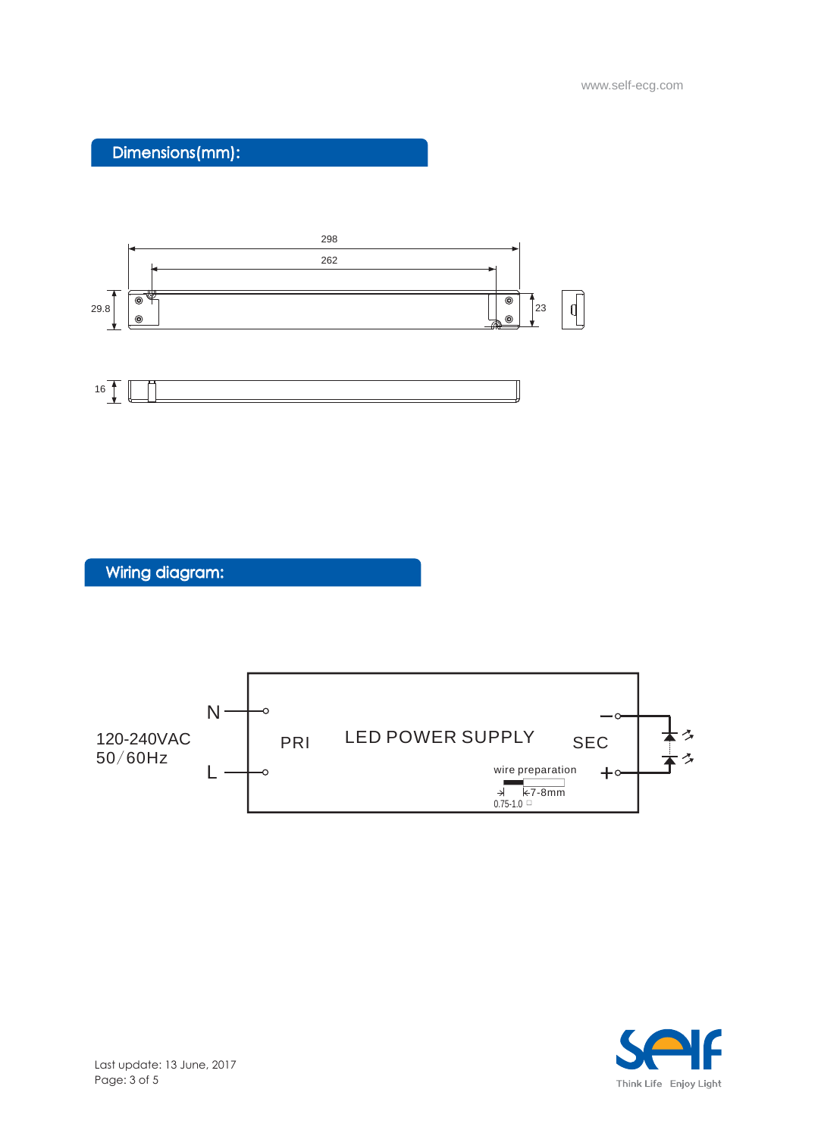Dimensions(mm):





Wiring diagram:



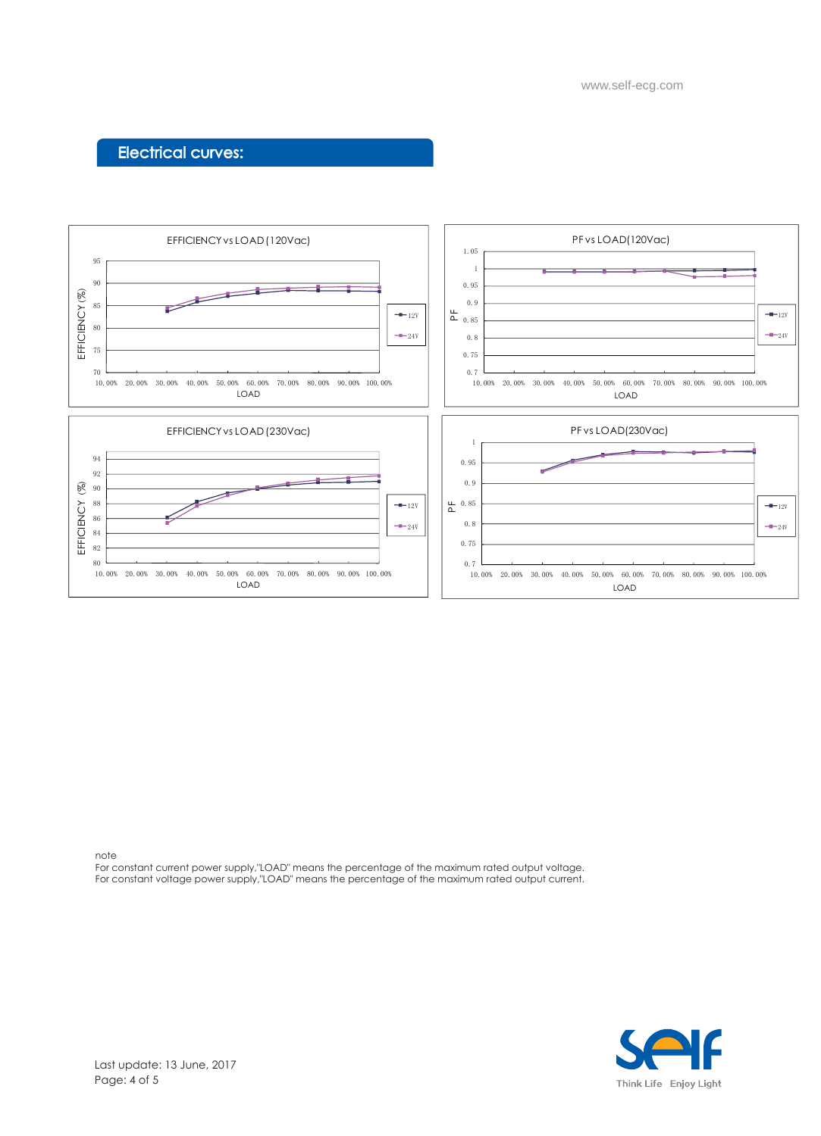#### Electrical curves:



note

For constant current power supply,"LOAD" means the percentage of the maximum rated output voltage. For constant voltage power supply,"LOAD" means the percentage of the maximum rated output current.

![](_page_3_Picture_5.jpeg)